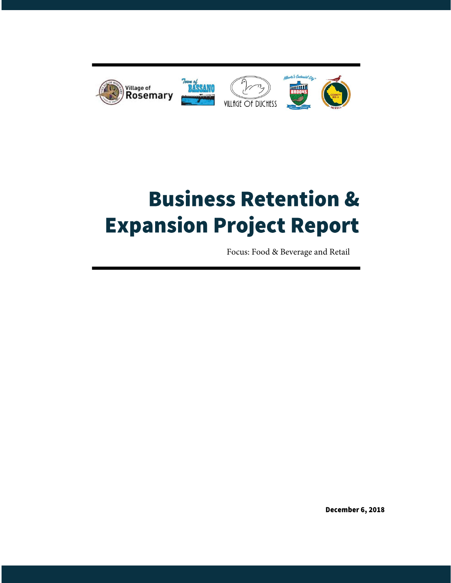

# **Business Retention & Expansion Project Report**

Focus: Food & Beverage and Retail

December 6, 2018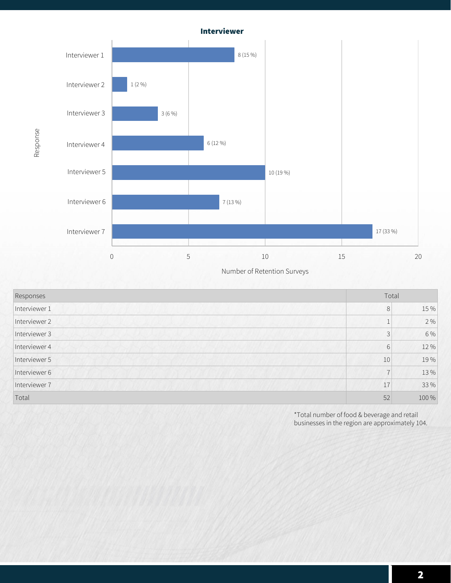

**Response**

**Number of Retention Surveys**

| Responses     | Total          |       |
|---------------|----------------|-------|
| Interviewer 1 | 8              | 15 %  |
| Interviewer 2 |                | 2%    |
| Interviewer 3 | 3              | 6 %   |
| Interviewer 4 | 6              | 12 %  |
| Interviewer 5 | 10             | 19%   |
| Interviewer 6 | $\overline{7}$ | 13%   |
| Interviewer 7 | 17             | 33 %  |
| Total         | 52             | 100 % |

\*Total number of food & beverage and retail businesses in the region are approximately 104.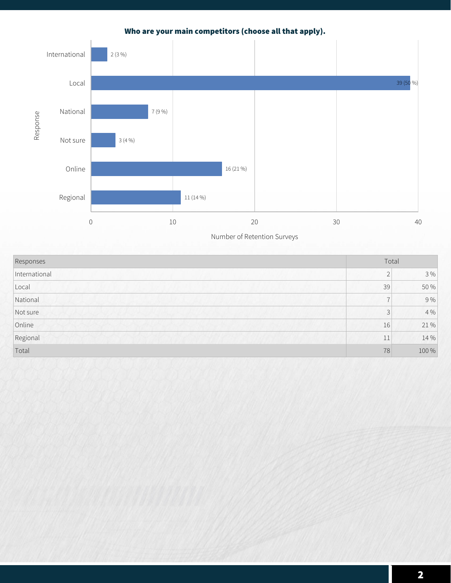## **Who are your main competitors (choose all that apply).**



| Responses     | Total                    |       |
|---------------|--------------------------|-------|
| International | $\bigcap$<br>∠           | $3\%$ |
| Local         | 39                       | 50 %  |
| National      | $\overline{\phantom{0}}$ | 9%    |
| Not sure      | 3                        | 4%    |
| Online        | 16                       | 21%   |
| Regional      | 11                       | 14 %  |
| Total         | 78                       | 100 % |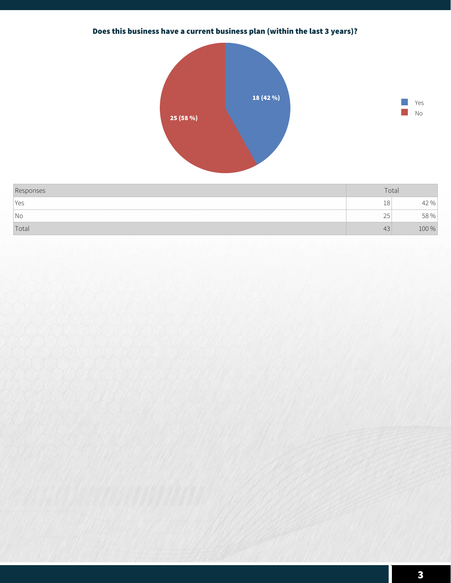# **Does this business have a current business plan (within the last 3 years)?**





| Responses                | Total        |        |
|--------------------------|--------------|--------|
| <i>Yes</i>               | 18           | $42\%$ |
| $\overline{\mathsf{No}}$ | $\cap$<br>∠J | 58 %   |
| Total                    | 43           | 100 %  |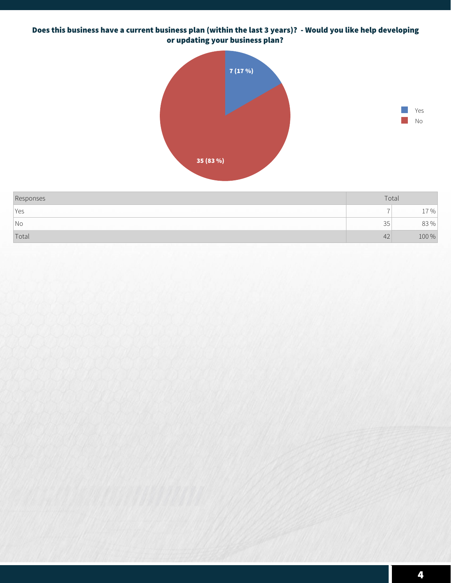#### **Does this business have a current business plan (within the last 3 years)? - Would you like help developing or updating your business plan?**





| Responses                | Total |        |
|--------------------------|-------|--------|
| Yes                      |       | $\%$   |
| $\overline{\mathsf{No}}$ | 35    | $83\%$ |
| Total                    | 42    | 100 %  |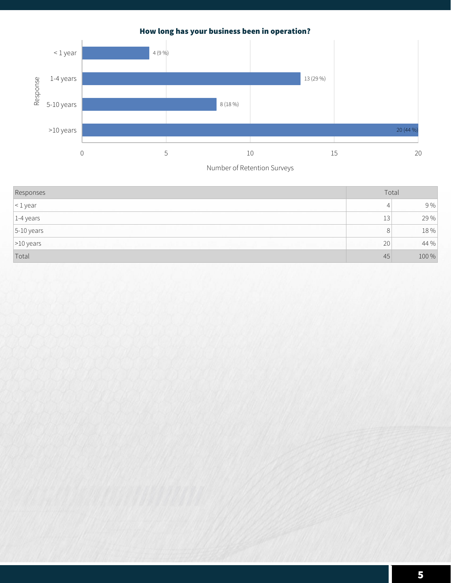

# **How long has your business been in operation?**

| Responses         | Total          |       |
|-------------------|----------------|-------|
| $\vert$ < 1 year  | 4              | 9%    |
| $ 1 - 4$ years    | 13             | 29 %  |
| $5-10$ years      | 8 <sup>1</sup> | 18 %  |
| $\vert$ >10 years | 20             | 44 %  |
| Total             | 45             | 100 % |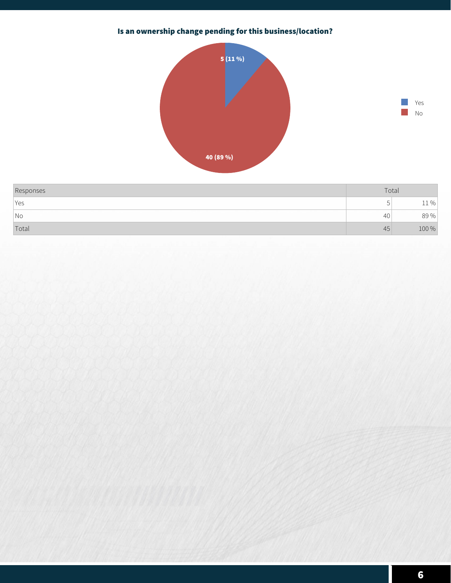# **Is an ownership change pending for this business/location?**





| Responses                | Total |               |
|--------------------------|-------|---------------|
| Yes                      |       | $\frac{0}{n}$ |
| $\overline{\mathsf{No}}$ | 40    | 89%           |
| Total                    | 45    | 100 %         |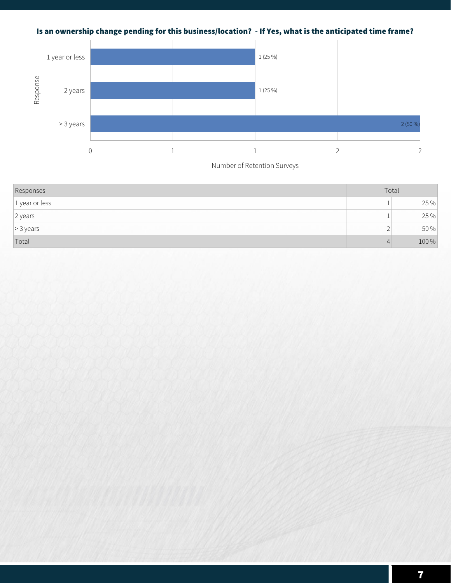# **Is an ownership change pending for this business/location? - If Yes, what is the anticipated time frame?**



| Responses         | Total    |       |
|-------------------|----------|-------|
| $ 1$ year or less |          | 25 %  |
| 2 years           |          | 25 %  |
| $\geq 3$ years    | ∽<br>∸   | 50 %  |
| Total             | $\Delta$ | 100 % |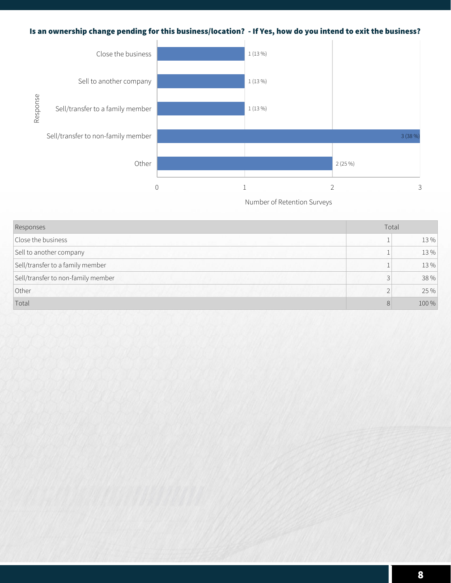## **Is an ownership change pending for this business/location? - If Yes, how do you intend to exit the business?**



| Responses                          | Total     |       |
|------------------------------------|-----------|-------|
| Close the business                 |           | 13 %  |
| Sell to another company            |           | 13 %  |
| Sell/transfer to a family member   |           | 13%   |
| Sell/transfer to non-family member | 3         | 38 %  |
| Other                              | $\bigcap$ | 25 %  |
| Total                              | 8         | 100 % |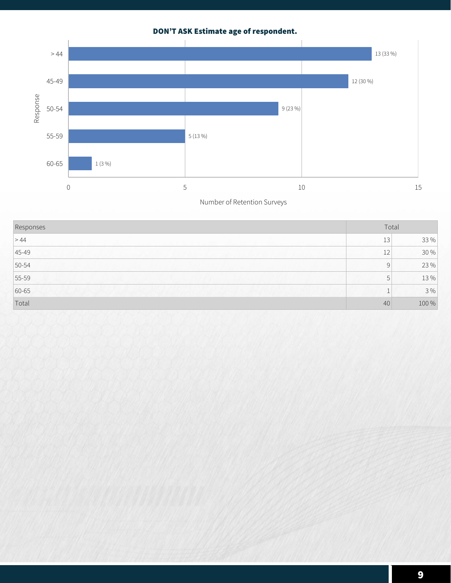# **DON'T ASK Estimate age of respondent.**



| Responses |                 | Total |  |
|-----------|-----------------|-------|--|
| > 44      | 13 <sub>1</sub> | 33 %  |  |
| $ 45-49 $ | 12              | 30 %  |  |
| $50-54$   | 9               | 23 %  |  |
| $55 - 59$ | 5               | 13 %  |  |
| 60-65     |                 | 3%    |  |
| Total     | 40              | 100 % |  |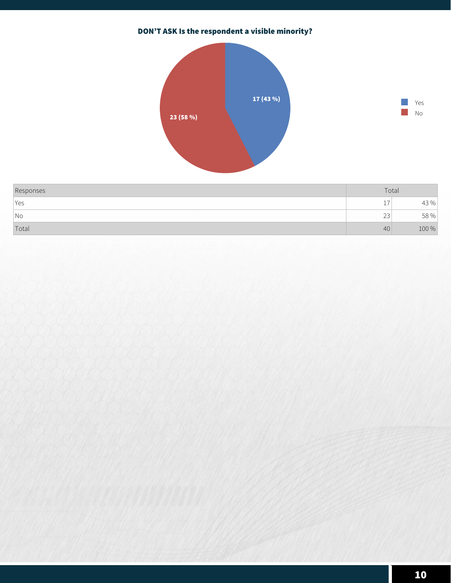# **DON'T ASK Is the respondent a visible minority?**





| Responses | Total           |       |
|-----------|-----------------|-------|
| Yes       | . –<br><b>.</b> | 43 %  |
| No        | $\sim$<br>بے    | 58 %  |
| Total     | 40              | 100 % |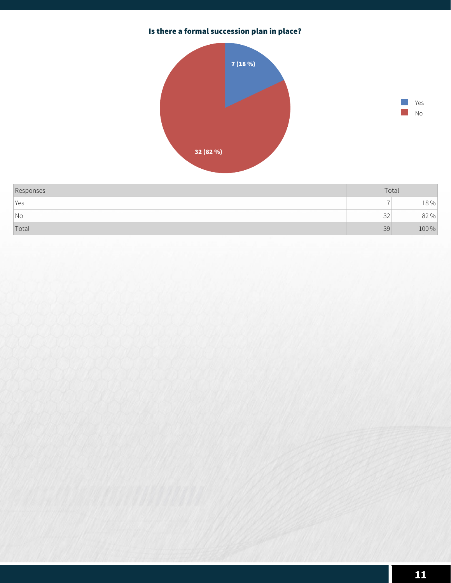# **Is there a formal succession plan in place?**





| Responses                | Total        |       |
|--------------------------|--------------|-------|
| Yes                      |              | 18 %  |
| $\overline{\mathsf{No}}$ | $\sim$<br>JZ | 82 %  |
| Total                    | 39           | 100 % |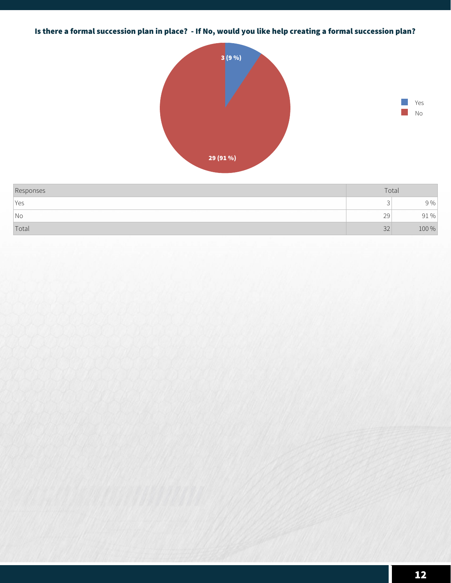# **Is there a formal succession plan in place? - If No, would you like help creating a formal succession plan?**



| Responses | Total |       |
|-----------|-------|-------|
| Yes       | ٮ     | 9 %   |
| No        | 29    | 91%   |
| Total     | 32    | 100 % |

**Yes No**

٠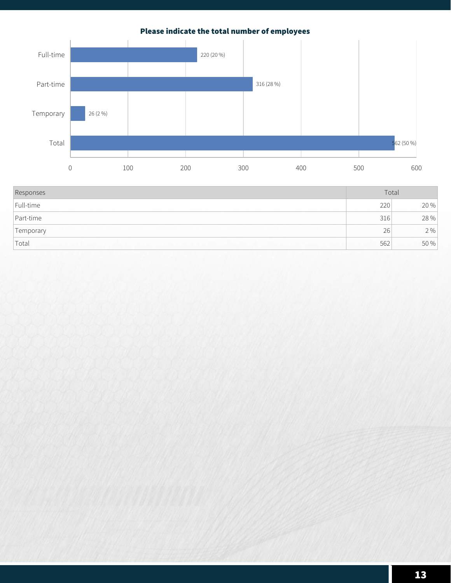# **Please indicate the total number of employees**



| Responses          | Total |      |
|--------------------|-------|------|
| Full-time          | 220   | 20 % |
| Part-time          | 316   | 28 % |
| Temporary          | 26    | 2%   |
| <sup>1</sup> Total | 562   | 50 % |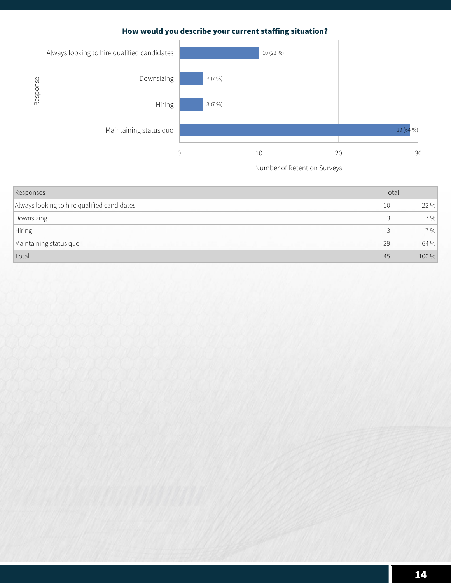## How would you describe your current staffing situation?



| Responses                                   | Total           |       |
|---------------------------------------------|-----------------|-------|
| Always looking to hire qualified candidates | 10 <sup>1</sup> | 22 %  |
| Downsizing                                  |                 | 7%    |
| Hiring                                      |                 | 7%    |
| Maintaining status quo                      | 29              | 64 %  |
| Total                                       | 45              | 100 % |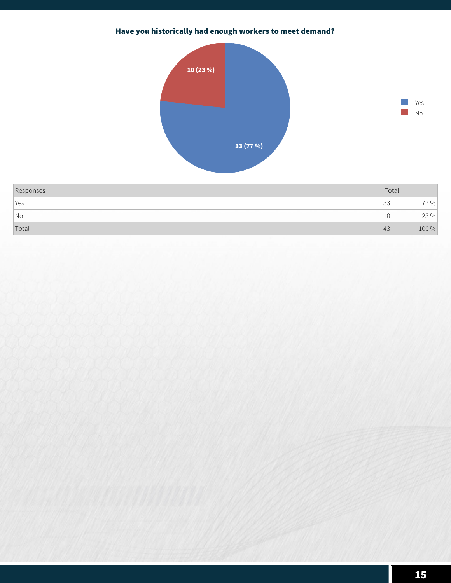# **Have you historically had enough workers to meet demand?**



| Responses | Total        |              |
|-----------|--------------|--------------|
| Yes       | $\sim$<br>ںں | $\%$         |
| No        | 10           | $73\%$<br>ムー |
| Total     | 43           | 100 %        |

**Yes No**

k.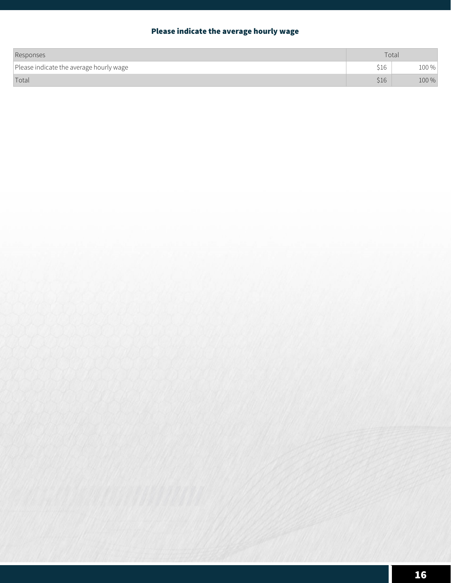# **Please indicate the average hourly wage**

| Responses                               | Total |         |
|-----------------------------------------|-------|---------|
| Please indicate the average hourly wage | \$16  | $100\%$ |
| Total                                   | \$16  | $100\%$ |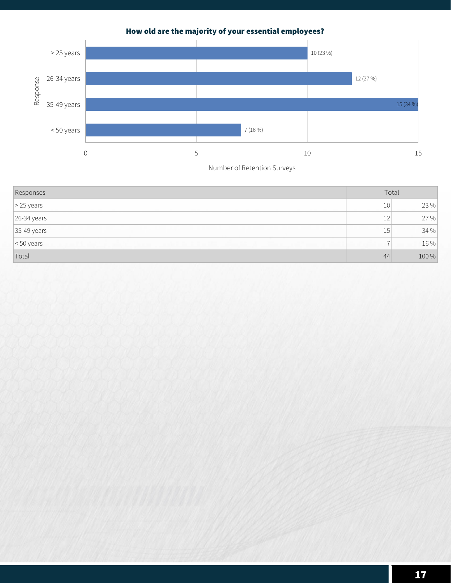

# **How old are the majority of your essential employees?**

| Responses          | Total           |       |
|--------------------|-----------------|-------|
| $\geq$ 25 years    | 10 <sup>1</sup> | 23 %  |
| $26-34$ years      | 12              | 27 %  |
| $35-49$ years      | 15 <sup>1</sup> | 34 %  |
| $\vert$ < 50 years |                 | 16 %  |
| Total              | 44              | 100 % |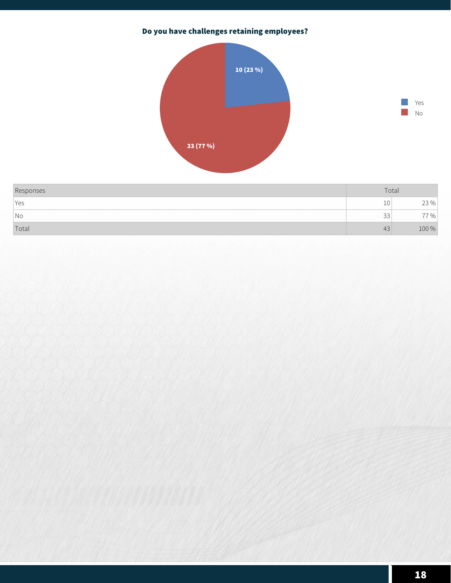# **Do you have challenges retaining employees?**





| Responses                | Total        |           |
|--------------------------|--------------|-----------|
| <i>Yes</i>               | $\sim$<br>⊥∪ | 23%<br>بے |
| $\overline{\mathsf{No}}$ | $\sim$<br>ںں | $\%$      |
| Total                    | 43           | 100 %     |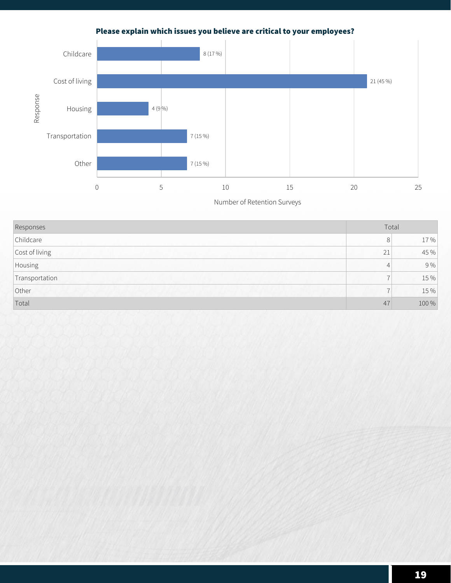# **Please explain which issues you believe are critical to your employees?**



| Responses      | Total                    |       |
|----------------|--------------------------|-------|
| Childcare      | 8                        | 17%   |
| Cost of living | 21                       | 45 %  |
| Housing        | 4                        | 9%    |
| Transportation | $\overline{ }$           | 15 %  |
| Other          | $\overline{\phantom{0}}$ | 15 %  |
| Total          | 47                       | 100 % |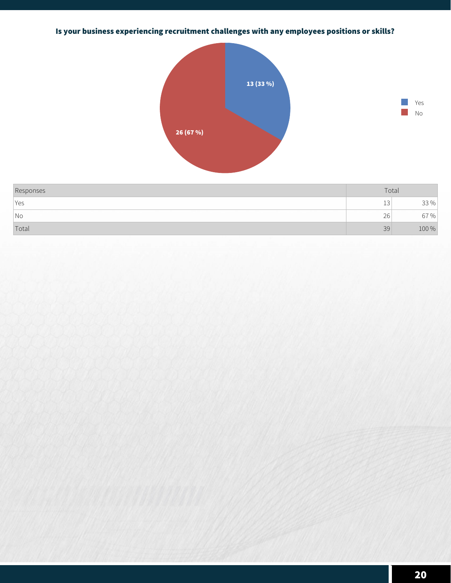# **Is your business experiencing recruitment challenges with any employees positions or skills?**





| Responses  | Total |       |
|------------|-------|-------|
| <i>Yes</i> | ∸∸    | 33 %  |
| No         | 26    | 67 %  |
| Total      | 39    | 100 % |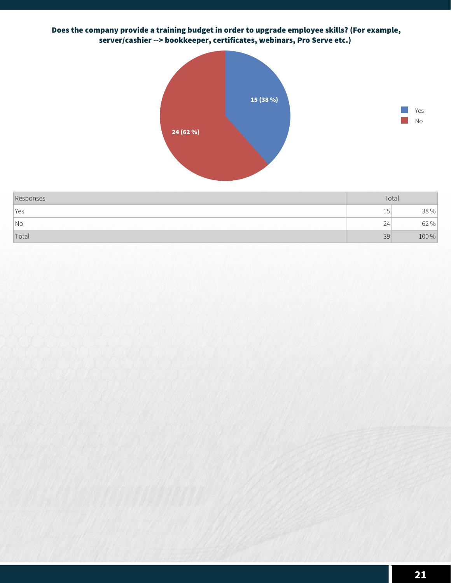#### **Does the company provide a training budget in order to upgrade employee skills? (For example, server/cashier --> bookkeeper, certificates, webinars, Pro Serve etc.)**





| Responses | Total        |       |
|-----------|--------------|-------|
| l Yes     | 15           | 38 %  |
| No        | $\sim$<br>24 | 62 %  |
| Total     | 39           | 100 % |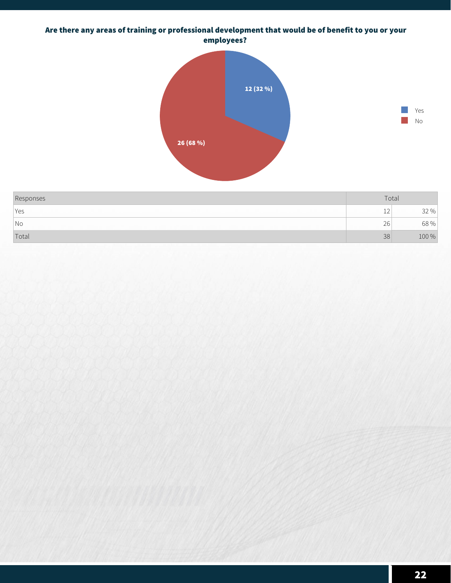#### **Are there any areas of training or professional development that would be of benefit to you or your employees?**





| Responses |              | Total |
|-----------|--------------|-------|
| lyes      | $\sim$<br>ᅩᄼ | 0/2   |
| No        | 26           | 68 %  |
| Total     | 38           | 100 % |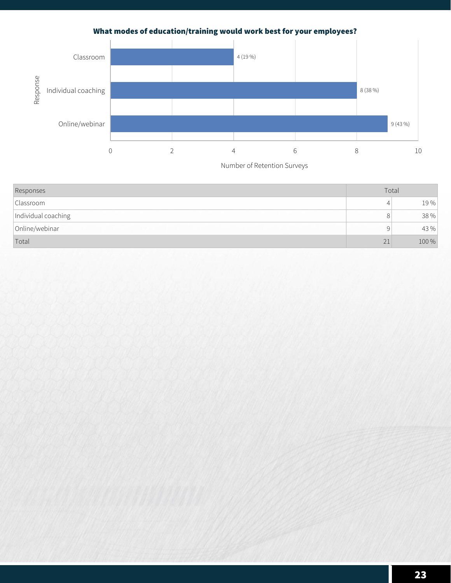# **What modes of education/training would work best for your employees?**



| Responses           | Total |       |
|---------------------|-------|-------|
| Classroom           | 4     | 19%   |
| Individual coaching | 8     | 38 %  |
| Online/webinar      | 9     | 43 %  |
| Total               | 21    | 100 % |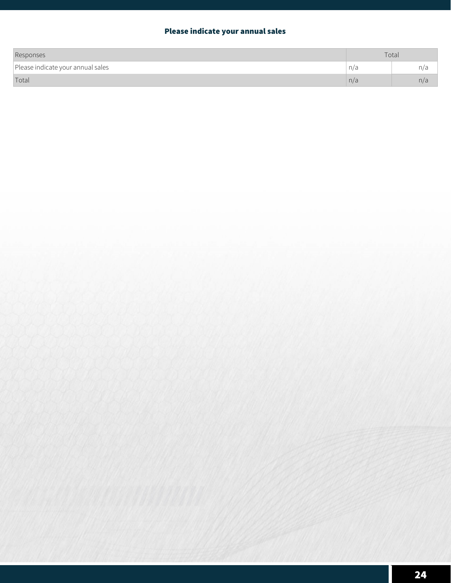## **Please indicate your annual sales**

| Responses                         | Total |               |
|-----------------------------------|-------|---------------|
| Please indicate your annual sales | n/a   | $n/\epsilon$  |
| Total                             | n/a   | $n/\tilde{c}$ |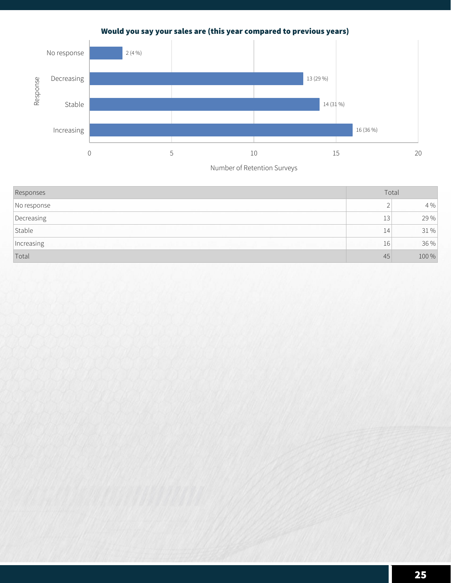# **Would you say your sales are (this year compared to previous years)**



| Responses   | Total      |       |
|-------------|------------|-------|
| No response | $\sqrt{2}$ | 4 %   |
| Decreasing  | 13         | 29 %  |
| Stable      | 14         | 31%   |
| Increasing  | 16         | 36 %  |
| Total       | 45         | 100 % |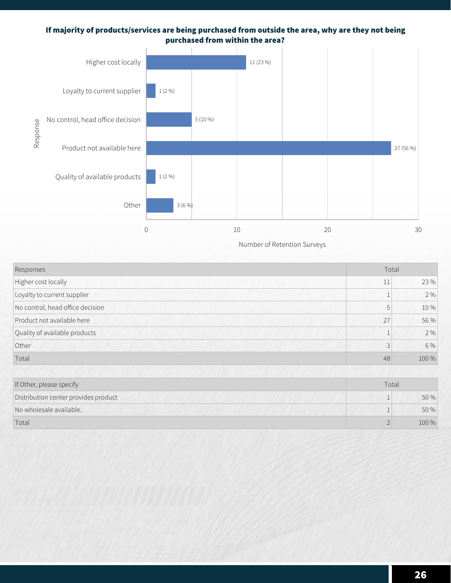#### **If majority of products/services are being purchased from outside the area, why are they not being purchased from within the area?**



| Responses                        |    | Total |  |
|----------------------------------|----|-------|--|
| Higher cost locally              | 11 | 23 %  |  |
| Loyalty to current supplier      |    | 2%    |  |
| No control, head office decision | 5  | 10%   |  |
| Product not available here       | 27 | 56 %  |  |
| Quality of available products    |    | 2%    |  |
| Other                            | 3  | 6 %   |  |
| Total                            | 48 | 100 % |  |
|                                  |    |       |  |

| If Other, please specify             | Total |       |
|--------------------------------------|-------|-------|
| Distribution center provides product |       | 50 %  |
| No wholesale available.              |       | 50%   |
| Total                                |       | 100 % |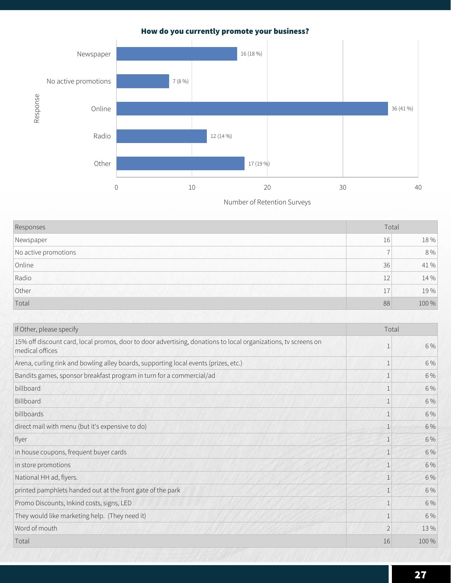# **How do you currently promote your business?**



| Responses            | Total |         |
|----------------------|-------|---------|
| Newspaper            | 16    | 18%     |
| No active promotions |       | $8\,\%$ |
| Online               | 36    | 41 %    |
| Radio                | 12    | 14 %    |
| Other                | 17    | 19%     |
| Total                | 88    | 100 %   |

| If Other, please specify<br>Total                                                                                                 |                |       |
|-----------------------------------------------------------------------------------------------------------------------------------|----------------|-------|
| 15% off discount card, local promos, door to door advertising, donations to local organizations, tv screens on<br>medical offices | 1              | 6 %   |
| Arena, curling rink and bowling alley boards, supporting local events (prizes, etc.)                                              |                | 6 %   |
| Bandits games, sponsor breakfast program in turn for a commercial/ad                                                              |                | 6 %   |
| billboard                                                                                                                         | 1              | 6 %   |
| Billboard                                                                                                                         | 1              | 6 %   |
| billboards                                                                                                                        |                | 6 %   |
| direct mail with menu (but it's expensive to do)                                                                                  |                | 6 %   |
| flyer                                                                                                                             |                | 6 %   |
| in house coupons, frequent buyer cards                                                                                            | $\mathbf{1}$   | 6 %   |
| in store promotions                                                                                                               | $\mathbf{1}$   | 6 %   |
| National HH ad, flyers.                                                                                                           | 1              | 6 %   |
| printed pamphlets handed out at the front gate of the park                                                                        |                | 6 %   |
| Promo Discounts, Inkind costs, signs, LED                                                                                         |                | 6 %   |
| They would like marketing help. (They need it)                                                                                    | 1              | 6 %   |
| Word of mouth                                                                                                                     | $\overline{2}$ | 13%   |
| Total                                                                                                                             | 16             | 100 % |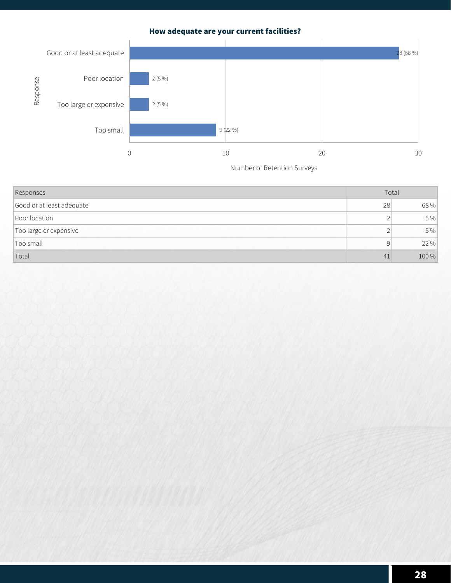## **How adequate are your current facilities?**



| Responses                 | Total |       |
|---------------------------|-------|-------|
| Good or at least adequate | 28    | 68 %  |
| Poor location             |       | 5 %   |
| Too large or expensive    |       | 5 %   |
| Too small                 | Q     | 22 %  |
| Total                     | 41    | 100 % |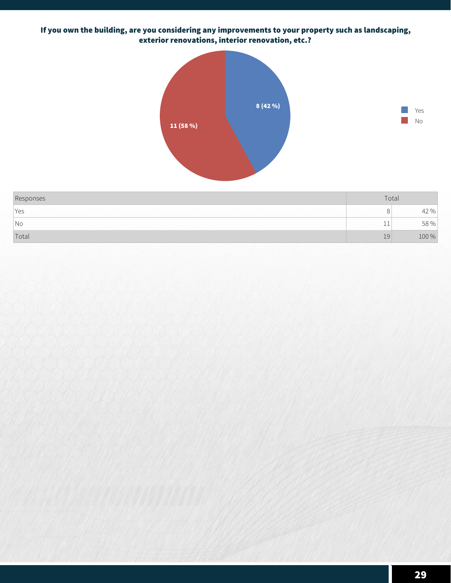## **If you own the building, are you considering any improvements to your property such as landscaping, exterior renovations, interior renovation, etc.?**





| Responses           | Total |       |
|---------------------|-------|-------|
| Yes                 |       | 42 %  |
| $\overline{\big N}$ | . .   | 58 %  |
| Total               | 19    | 100 % |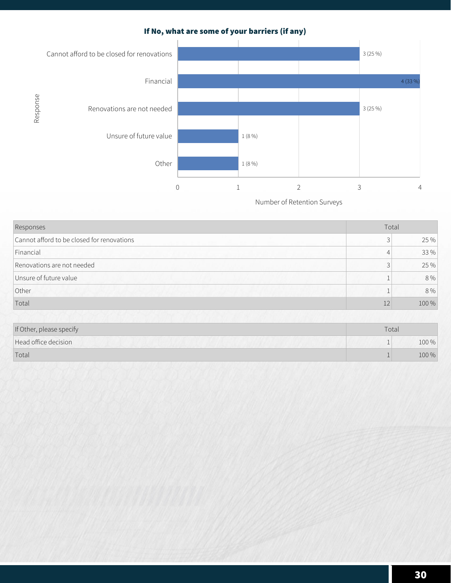# **If No, what are some of your barriers (if any)**



| Responses                                  | Total |       |
|--------------------------------------------|-------|-------|
| Cannot afford to be closed for renovations | 3     | 25 %  |
| Financial                                  | 4     | 33 %  |
| Renovations are not needed                 | 3     | 25 %  |
| Unsure of future value                     |       | 8 %   |
| Other                                      |       | 8 %   |
| Total                                      | 12    | 100 % |

| If Other, please specify | Total |       |  |
|--------------------------|-------|-------|--|
| Head office decision     |       | 100 % |  |
| Total                    |       | 100 % |  |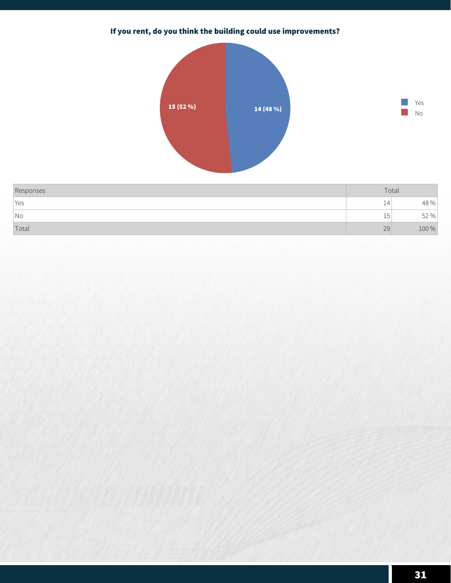# **If you rent, do you think the building could use improvements?**





| Responses           | Total   |       |
|---------------------|---------|-------|
| Yes                 | 14      | 48 %  |
| $\overline{\big N}$ | F<br>ب⊥ | 52 %  |
| Total               | 29      | 100 % |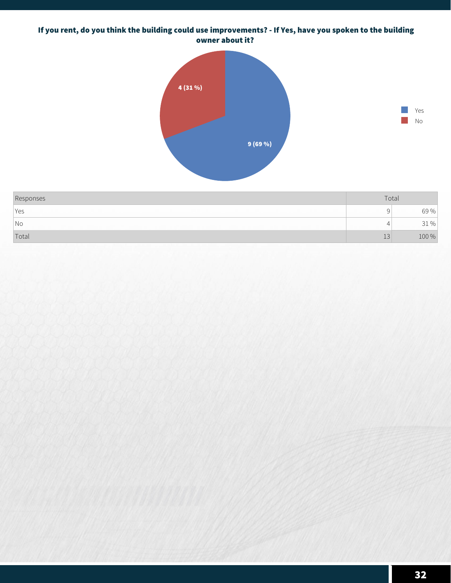#### **If you rent, do you think the building could use improvements? - If Yes, have you spoken to the building owner about it?**





| Responses           | Total |       |
|---------------------|-------|-------|
| Yes                 |       | 69 %  |
| $\overline{\big N}$ |       | 0/0   |
| Total               | ⊥◡    | 100 % |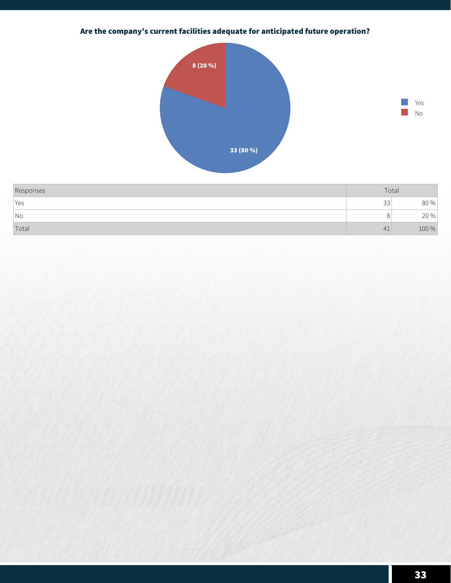# **Are the company's current facilities adequate for anticipated future operation?**





| Responses                | Total          |       |
|--------------------------|----------------|-------|
| Yes                      | $\sim$<br>33   | 80 %  |
| $\overline{\mathsf{No}}$ |                | 20 %  |
| Total                    | 4 <sub>1</sub> | 100 % |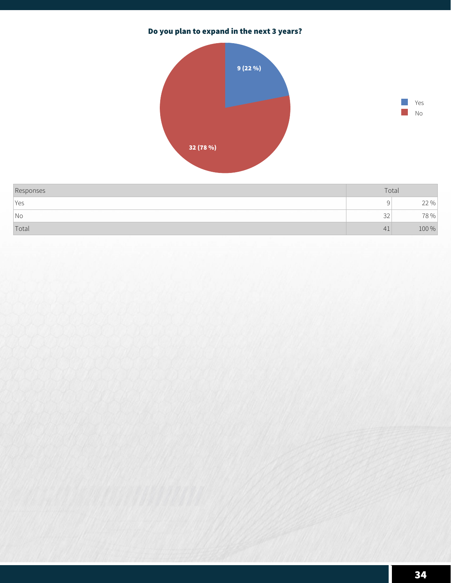# **Do you plan to expand in the next 3 years?**





| Responses | Total        |        |
|-----------|--------------|--------|
| Yes       |              | $22\%$ |
| No        | $\sim$<br>JZ | 78%    |
| Total     | -41          | 100 %  |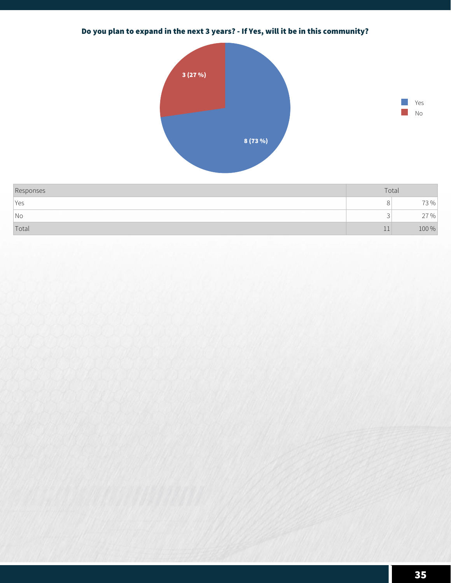# **Do you plan to expand in the next 3 years? - If Yes, will it be in this community?**





| Responses                   | Total |        |
|-----------------------------|-------|--------|
| Yes                         | Ő     | 73%⊤   |
| $\overline{\phantom{a}}$ No |       | $27\%$ |
| Total                       |       | 100 %  |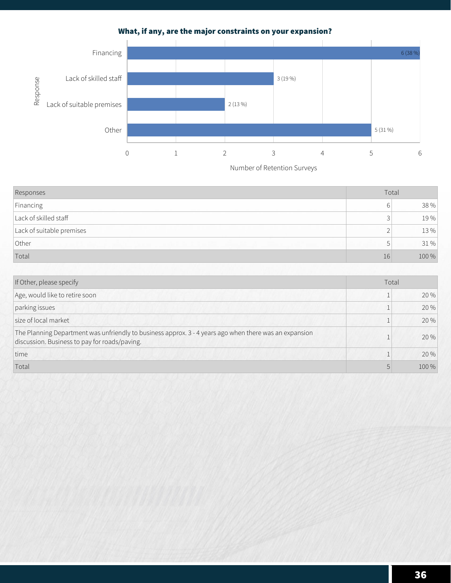**What, if any, are the major constraints on your expansion?**



| Responses                 | Total |       |
|---------------------------|-------|-------|
| Financing                 | 6     | 38 %  |
| Lack of skilled staff     | 3     | 19%   |
| Lack of suitable premises | ⌒     | 13%   |
| Other                     | b     | 31 %  |
| Total                     | 16    | 100 % |

| If Other, please specify                                                                                                                                |  | Total |  |
|---------------------------------------------------------------------------------------------------------------------------------------------------------|--|-------|--|
| Age, would like to retire soon                                                                                                                          |  | 20 %  |  |
| parking issues                                                                                                                                          |  | 20 %  |  |
| size of local market                                                                                                                                    |  | 20 %  |  |
| The Planning Department was unfriendly to business approx. 3 - 4 years ago when there was an expansion<br>discussion. Business to pay for roads/paving. |  | 20 %  |  |
| time                                                                                                                                                    |  | 20 %  |  |
| Total                                                                                                                                                   |  | 100 % |  |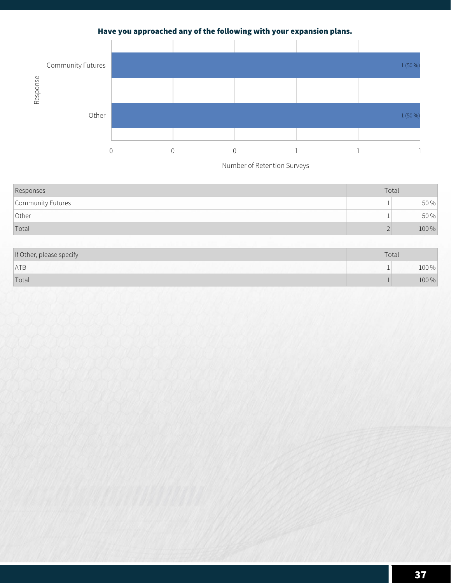# **Have you approached any of the following with your expansion plans.**



| Responses         | Total |       |
|-------------------|-------|-------|
| Community Futures |       | 50 %  |
| Other             |       | 50 %  |
| Total             |       | 100 % |

| If Other, please specify | Total |       |
|--------------------------|-------|-------|
| ATB                      |       | T00 % |
| Total                    |       | 100 % |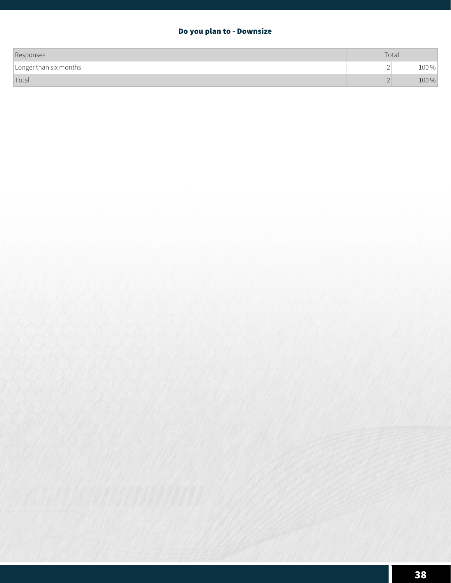## **Do you plan to - Downsize**

| Responses              | Total    |         |
|------------------------|----------|---------|
| Longer than six months | <u>_</u> | $100\%$ |
| Total                  |          | 100 %   |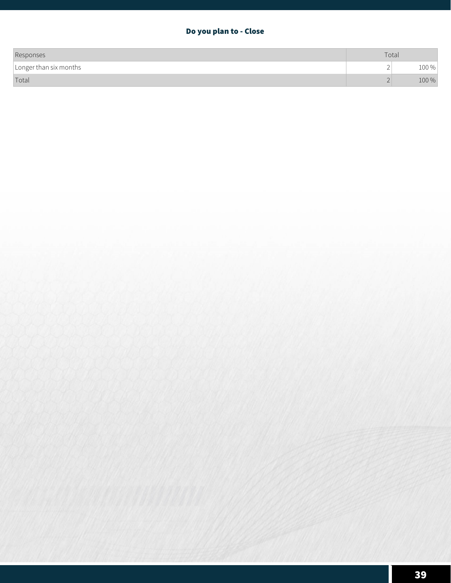# **Do you plan to - Close**

| Responses              | Total |             |
|------------------------|-------|-------------|
| Longer than six months | ∸     | 100%<br>TOO |
| Total                  |       | 100 %       |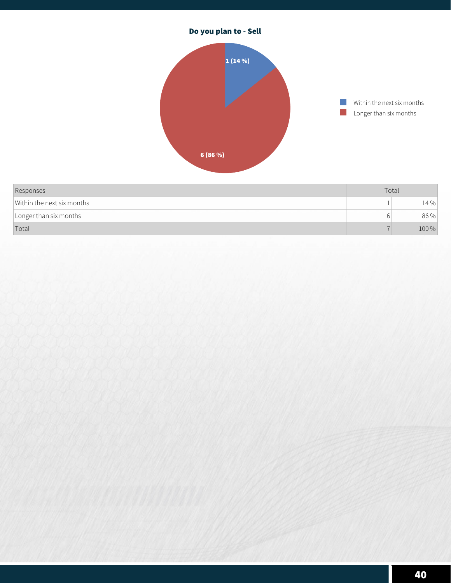

**Total**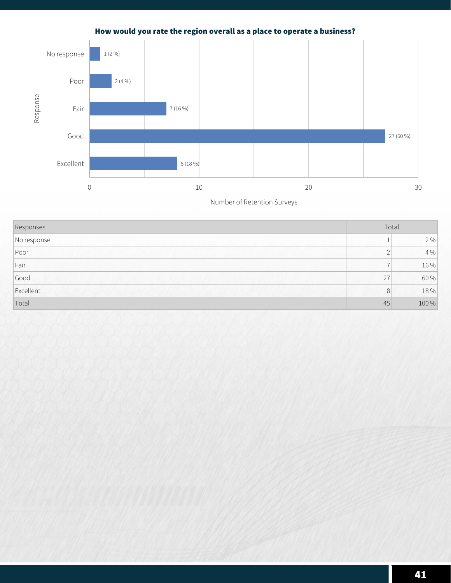# **How would you rate the region overall as a place to operate a business?**



| Responses   |                | Total   |  |
|-------------|----------------|---------|--|
| No response |                | 2 %     |  |
| $ $ Poor    |                | $4\,\%$ |  |
| Fair        | ۳              | 16 %    |  |
| Good        | 27             | 60 %    |  |
| Excellent   | 8 <sup>1</sup> | 18 %    |  |
| Total       | 45             | 100 %   |  |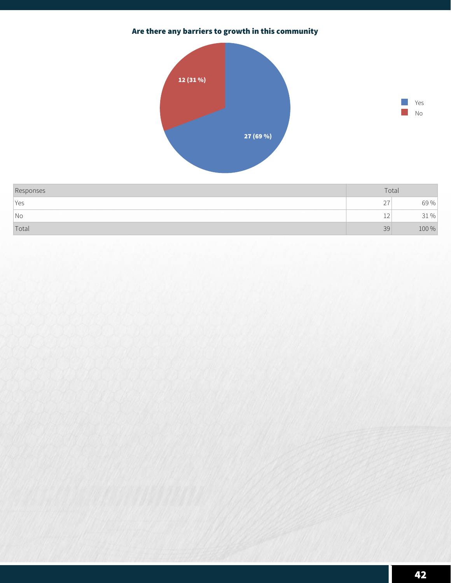# **Are there any barriers to growth in this community**





| Responses                | Total            |               |
|--------------------------|------------------|---------------|
| Yes                      | $\sim$<br>$\sim$ | 69%           |
| $\overline{\mathsf{No}}$ | $\sim$<br>ᅩ      | $\frac{0}{0}$ |
| Total                    | 39               | 100 %         |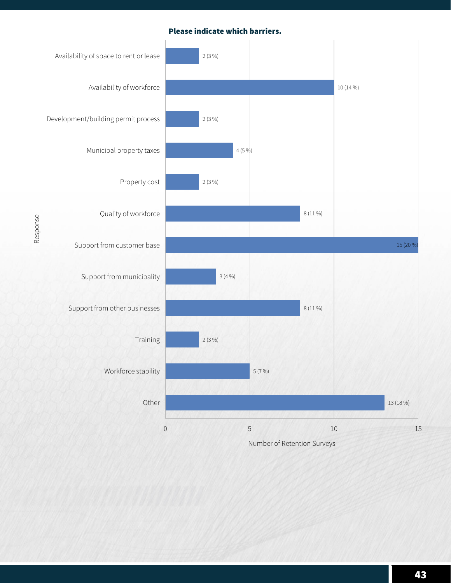#### **Please indicate which barriers.**

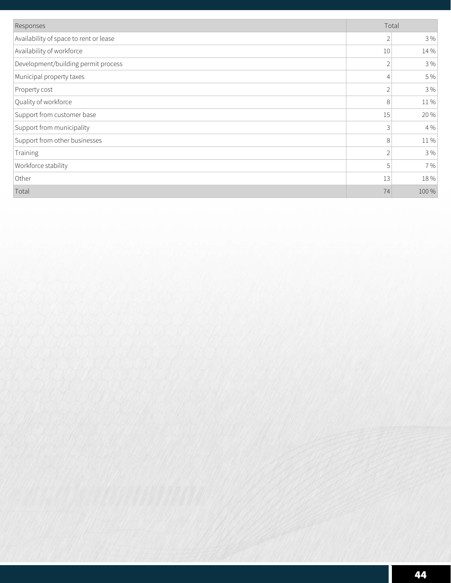| Responses                              | Total          |       |
|----------------------------------------|----------------|-------|
| Availability of space to rent or lease | $\overline{2}$ | 3%    |
| Availability of workforce              | 10             | 14 %  |
| Development/building permit process    | $\overline{2}$ | 3 %   |
| Municipal property taxes               | $\overline{4}$ | 5 %   |
| Property cost                          | $\overline{2}$ | 3%    |
| Quality of workforce                   | 8              | 11%   |
| Support from customer base             | 15             | 20 %  |
| Support from municipality              | 3              | 4 %   |
| Support from other businesses          | 8              | 11%   |
| Training                               | $\sqrt{2}$     | 3 %   |
| Workforce stability                    | 5              | 7 %   |
| Other                                  | 13             | 18 %  |
| Total                                  | 74             | 100 % |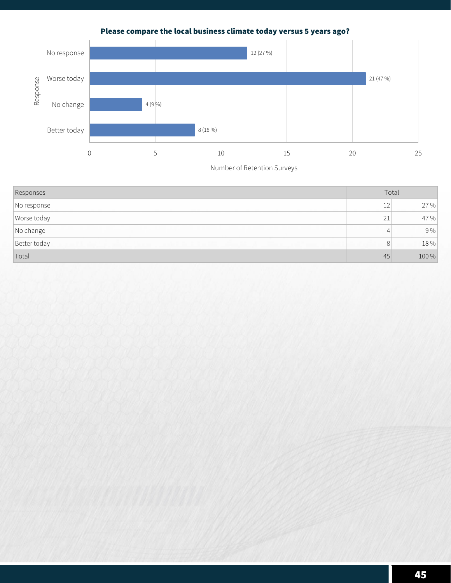**Please compare the local business climate today versus 5 years ago?**



| Responses    | Total          |       |
|--------------|----------------|-------|
| No response  | 12             | 27 %  |
| Worse today  | 21             | 47 %  |
| No change    | 4              | 9%    |
| Better today | 8 <sup>1</sup> | 18 %  |
| Total        | 45             | 100 % |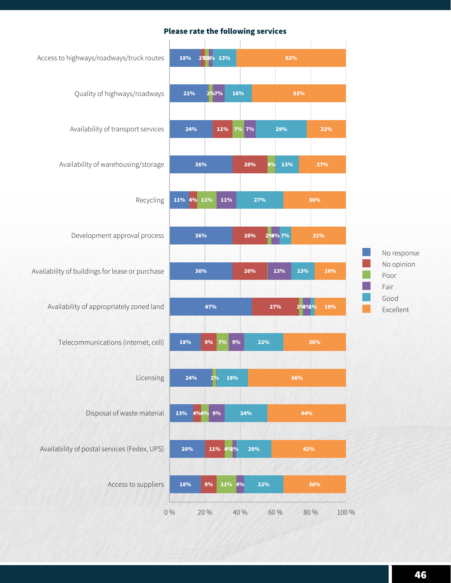#### **Please rate the following services**

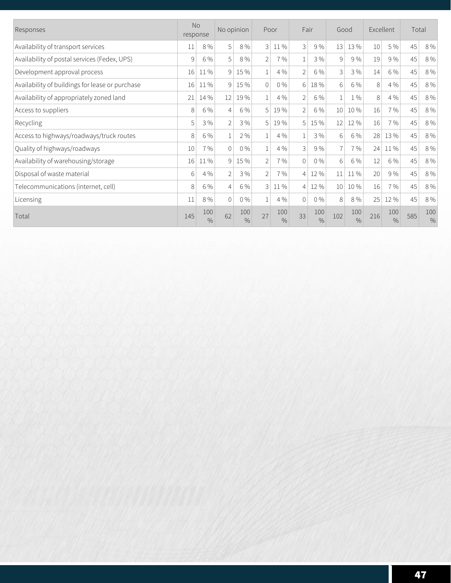| Responses                                       | No<br>response |                      | No opinion     |                      | Poor           |                      | Fair           |                      | Good              |                      | Excellent |                      | Total |             |
|-------------------------------------------------|----------------|----------------------|----------------|----------------------|----------------|----------------------|----------------|----------------------|-------------------|----------------------|-----------|----------------------|-------|-------------|
| Availability of transport services              | 11             | 8 %                  | 5              | 8 %                  | 3              | 11 %                 | 3              | 9%                   | 13                | 13 %                 | 10        | 5 %                  | 45    | 8 %         |
| Availability of postal services (Fedex, UPS)    | 9              | 6 %                  | 5              | 8%                   | $\overline{2}$ | 7 %                  |                | 3 %                  | 9                 | 9%                   | 19        | 9%                   | 45    | 8 %         |
| Development approval process                    | 16             | 11%                  | 9 <sup>1</sup> | 15 %                 | $\mathbf{1}$   | 4 %                  | $\overline{2}$ | 6 %                  | 3                 | 3 %                  | 14        | 6 %                  | 45    | 8 %         |
| Availability of buildings for lease or purchase | 16             | 11 %                 | 9 <sup>1</sup> | 15 %                 | $\Omega$       | $0\%$                | 6 <sup>1</sup> | 18 %                 | 6                 | 6 %                  | 8         | 4 %                  | 45    | 8 %         |
| Availability of appropriately zoned land        | 21             | 14 %                 | 12             | 19 %                 | 1              | 4 %                  | $\mathfrak{D}$ | 6 %                  |                   | $1\%$                | 8         | 4 %                  | 45    | 8 %         |
| Access to suppliers                             | 8              | 6 %                  | 4              | 6 %                  | 5              | 19 %                 | $\mathfrak{D}$ | 6 %                  | 10                | 10 %                 | 16        | 7 %                  | 45    | 8 %         |
| Recycling                                       | 5              | 3%                   | 2              | 3%                   | 5 <sup>1</sup> | 19 %                 | 5 <sup>1</sup> | 15 %                 | $12 \overline{ }$ | 12 %                 | 16        | 7 %                  | 45    | 8 %         |
| Access to highways/roadways/truck routes        | 8              | 6 %                  |                | 2%                   | 1              | 4 %                  |                | 3 %                  | 6                 | 6 %                  | 28        | 13%                  | 45    | 8 %         |
| Quality of highways/roadways                    | 10             | 7 %                  | $\Omega$       | $0\%$                | $\mathbf{1}$   | 4 %                  | 3              | 9%                   | $\overline{7}$    | 7 %                  | 24        | 11%                  | 45    | 8 %         |
| Availability of warehousing/storage             | 16             | 11%                  | 9 <sup>1</sup> | 15 %                 | $\overline{2}$ | 7 %                  | $\Omega$       | $0\%$                | 6                 | 6 %                  | 12        | 6 %                  | 45    | $8\,\%$     |
| Disposal of waste material                      | 6              | 4 %                  | 2              | 3%                   | $\overline{2}$ | 7 %                  | 4              | 12 %                 | 11                | 11 %                 | 20        | 9%                   | 45    | 8 %         |
| Telecommunications (internet, cell)             | 8              | 6 %                  | 4              | 6 %                  | 3              | 11 %                 | 4              | 12 %                 | 10 <sup>1</sup>   | 10 %                 | 16        | 7 %                  | 45    | 8 %         |
| Licensing                                       | 11             | 8 %                  | $\Omega$       | $0\%$                | $\mathbf{1}$   | 4 %                  | $\overline{0}$ | $0\%$                | 8                 | 8 %                  | 25        | 12 %                 | 45    | 8 %         |
| Total                                           | 145            | 100<br>$\frac{0}{0}$ | 62             | 100<br>$\frac{0}{0}$ | 27             | 100<br>$\frac{0}{0}$ | 33             | 100<br>$\frac{0}{0}$ | 102               | 100<br>$\frac{0}{0}$ | 216       | 100<br>$\frac{0}{0}$ | 585   | 100<br>$\%$ |